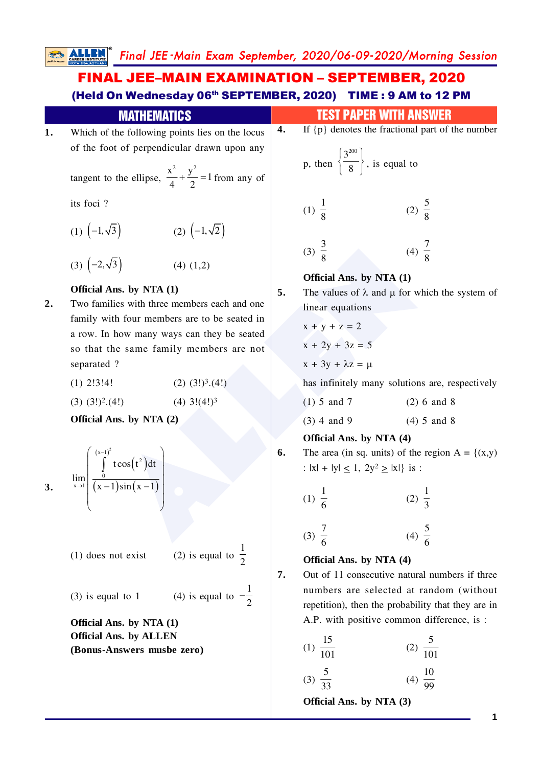# FINAL JEE–MAIN EXAMINATION – SEPTEMBER, 2020 (Held On Wednesday 06th SEPTEMBER, 2020) TIME : 9 AM to 12 PM

|    | <b>MATHEMATICS</b>                                                                    |    | <b>TEST PAPER WITH ANSWER</b>                                                                      |  |
|----|---------------------------------------------------------------------------------------|----|----------------------------------------------------------------------------------------------------|--|
| 1. | Which of the following points lies on the locus                                       | 4. | If $\{p\}$ denotes the fractional part of the number                                               |  |
|    | of the foot of perpendicular drawn upon any                                           |    |                                                                                                    |  |
|    | tangent to the ellipse, $\frac{x^2}{4} + \frac{y^2}{2} = 1$ from any of               |    | p, then $\left\{\frac{3^{200}}{8}\right\}$ , is equal to                                           |  |
|    | its foci ?                                                                            |    | (2) $\frac{5}{8}$<br>(1) $\frac{1}{8}$                                                             |  |
|    | (2) $\left(-1, \sqrt{2}\right)$<br>$(1)$ $(-1,\sqrt{3})$                              |    | (4) $\frac{7}{8}$<br>(3) $\frac{3}{8}$                                                             |  |
|    | (3) $(-2,\sqrt{3})$<br>$(4)$ $(1,2)$                                                  |    | Official Ans. by NTA (1)                                                                           |  |
|    | Official Ans. by NTA (1)                                                              | 5. | The values of $\lambda$ and $\mu$ for which the system of                                          |  |
| 2. | Two families with three members each and one                                          |    | linear equations                                                                                   |  |
|    | family with four members are to be seated in                                          |    | $x + y + z = 2$                                                                                    |  |
|    | a row. In how many ways can they be seated<br>so that the same family members are not |    | $x + 2y + 3z = 5$                                                                                  |  |
|    | separated?                                                                            |    | $x + 3y + \lambda z = \mu$                                                                         |  |
|    | $(2)$ $(3!)^3$ . $(4!)$<br>$(1)$ 2!3!4!                                               |    | has infinitely many solutions are, respectively                                                    |  |
|    | $(4)$ 3! $(4!)$ <sup>3</sup><br>$(3)$ $(3!)^2$ . $(4!)$                               |    | $(1)$ 5 and 7<br>$(2) 6$ and 8                                                                     |  |
|    | Official Ans. by NTA (2)                                                              |    | $(3)$ 4 and 9<br>$(4) 5$ and 8                                                                     |  |
|    |                                                                                       |    | Official Ans. by NTA (4)                                                                           |  |
|    | $\lim_{x\to 1}\left[\frac{\int_{0}^{(x-1)^2} t\cos(t^2)dt}{(x-1)\sin(x-1)}\right]$    | 6. | The area (in sq. units) of the region $A = \{(x,y)\}$<br>: $ x  +  y  \le 1$ , $2y^2 \ge  x $ is : |  |
| 3. |                                                                                       |    | $(2) \frac{1}{3}$<br>$(1) \frac{1}{6}$                                                             |  |
|    |                                                                                       |    | (4) $\frac{5}{6}$<br>(3) $\frac{7}{6}$                                                             |  |
|    | (2) is equal to $\frac{1}{2}$<br>$(1)$ does not exist                                 |    | Official Ans. by NTA (4)                                                                           |  |
|    |                                                                                       | 7. | Out of 11 consecutive natural numbers if three                                                     |  |
|    | (4) is equal to $-$<br>$(3)$ is equal to 1                                            |    | numbers are selected at random (without<br>repetition), then the probability that they are in      |  |
|    | Official Ans. by NTA (1)                                                              |    | A.P. with positive common difference, is :                                                         |  |
|    | <b>Official Ans. by ALLEN</b>                                                         |    | (1) $\frac{15}{101}$<br>(2) $\frac{5}{101}$                                                        |  |
|    | (Bonus-Answers musbe zero)                                                            |    |                                                                                                    |  |
|    |                                                                                       |    | (4) $\frac{10}{99}$<br>(3) $\frac{5}{33}$                                                          |  |
|    |                                                                                       |    | Official Ans. by NTA (3)                                                                           |  |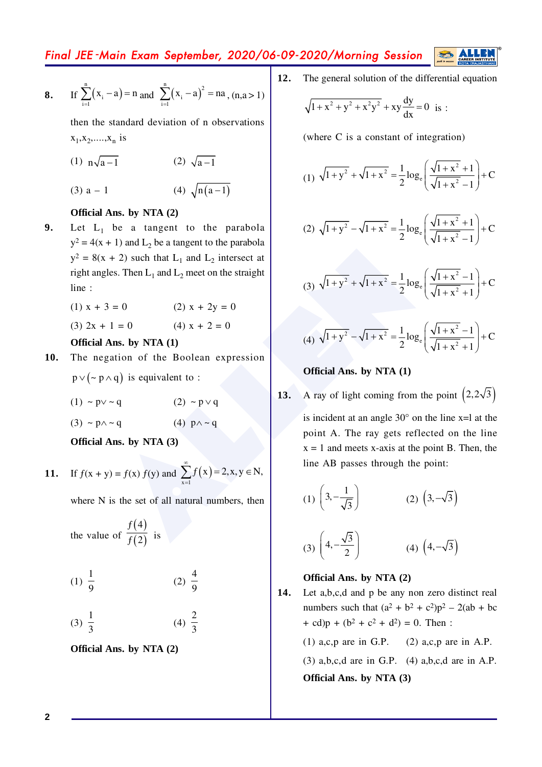Final JEE -Main Exam September, 2020/06-09-2020/Morning Session

**8.** If 
$$
\sum_{i=1}^{n} (x_i - a) = n
$$
 and  $\sum_{i=1}^{n} (x_i - a)^2 = na$ ,  $(n, a > 1)$ 

then the standard deviation of n observations  $x_1, x_2, \ldots, x_n$  is

(1) 
$$
n\sqrt{a-1}
$$
 (2)  $\sqrt{a-1}$ 

(3) 
$$
a - 1
$$
 (4)  $\sqrt{n(a-1)}$ 

#### **Official Ans. by NTA (2)**

- **9.** Let  $L_1$  be a tangent to the parabola  $y^2 = 4(x + 1)$  and  $L_2$  be a tangent to the parabola  $y^2 = 8(x + 2)$  such that  $L_1$  and  $L_2$  intersect at right angles. Then  $L_1$  and  $L_2$  meet on the straight line :
	- (1)  $x + 3 = 0$  (2)  $x + 2y = 0$
	- (3)  $2x + 1 = 0$  (4)  $x + 2 = 0$

# **Official Ans. by NTA (1)**

- **10.** The negation of the Boolean expression
	- $p \vee (\sim p \wedge q)$  is equivalent to :
	- (1)  $\sim$  p $\vee$   $\sim$  q (2)  $\sim$  p $\vee$  q
	- (3)  $\sim p \wedge \sim q$  (4)  $p \wedge \sim q$

**Official Ans. by NTA (3)**

11. If 
$$
f(x + y) = f(x) f(y)
$$
 and  $\sum_{x=1}^{\infty} f(x) = 2, x, y \in N$ ,

where N is the set of all natural numbers, then

the value of 
$$
\frac{f(4)}{f(2)}
$$
 is

(1) 
$$
\frac{1}{9}
$$
 (2)  $\frac{4}{9}$ 

$$
(3) \ \frac{1}{3} \qquad \qquad (4) \ \frac{2}{3}
$$

**Official Ans. by NTA (2)**

**12.** The general solution of the differential equation

$$
\sqrt{1 + x^2 + y^2 + x^2y^2} + xy\frac{dy}{dx} = 0
$$
 is :

(where C is a constant of integration)

(1) 
$$
\sqrt{1+y^2} + \sqrt{1+x^2} = \frac{1}{2} \log_e \left( \frac{\sqrt{1+x^2} + 1}{\sqrt{1+x^2} - 1} \right) + C
$$

(2) 
$$
\sqrt{1+y^2} - \sqrt{1+x^2} = \frac{1}{2} \log_e \left( \frac{\sqrt{1+x^2} + 1}{\sqrt{1+x^2} - 1} \right) + C
$$

(3) 
$$
\sqrt{1+y^2} + \sqrt{1+x^2} = \frac{1}{2} \log_e \left( \frac{\sqrt{1+x^2} - 1}{\sqrt{1+x^2} + 1} \right) + C
$$

(4) 
$$
\sqrt{1+y^2} - \sqrt{1+x^2} = \frac{1}{2} \log_e \left( \frac{\sqrt{1+x^2} - 1}{\sqrt{1+x^2} + 1} \right) + C
$$

#### **Official Ans. by NTA (1)**

**13.** A ray of light coming from the point  $(2,2\sqrt{3})$ 

Figure and  $\frac{1}{2}$  and  $\frac{1}{2}$  and  $\frac{1}{2}$  and  $\frac{1}{2}$  and  $\frac{1}{2}$  and  $\frac{1}{2}$  and  $\frac{1}{2}$  and  $\frac{1}{2}$  and  $\frac{1}{2}$  and  $\frac{1}{2}$  and  $\frac{1}{2}$  and  $\frac{1}{2}$  and  $\frac{1}{2}$  and  $\frac{1}{2}$  and  $\frac{1}{2}$  and is incident at an angle  $30^{\circ}$  on the line x=l at the point A. The ray gets reflected on the line  $x = 1$  and meets x-axis at the point B. Then, the line AB passes through the point:

$$
(1) \left(3, -\frac{1}{\sqrt{3}}\right) \qquad \qquad (2) \left(3, -\sqrt{3}\right)
$$

$$
(3) \left(4, -\frac{\sqrt{3}}{2}\right) \hspace{1cm} (4) \left(4, -\sqrt{3}\right)
$$

#### **Official Ans. by NTA (2)**

**14.** Let a,b,c,d and p be any non zero distinct real numbers such that  $(a^2 + b^2 + c^2)p^2 - 2(ab + bc)$ + cd)p +  $(b^2 + c^2 + d^2) = 0$ . Then :

(1)  $a, c, p$  are in G.P. (2)  $a, c, p$  are in A.P.

 $(3)$  a,b,c,d are in G.P.  $(4)$  a,b,c,d are in A.P.

**Official Ans. by NTA (3)**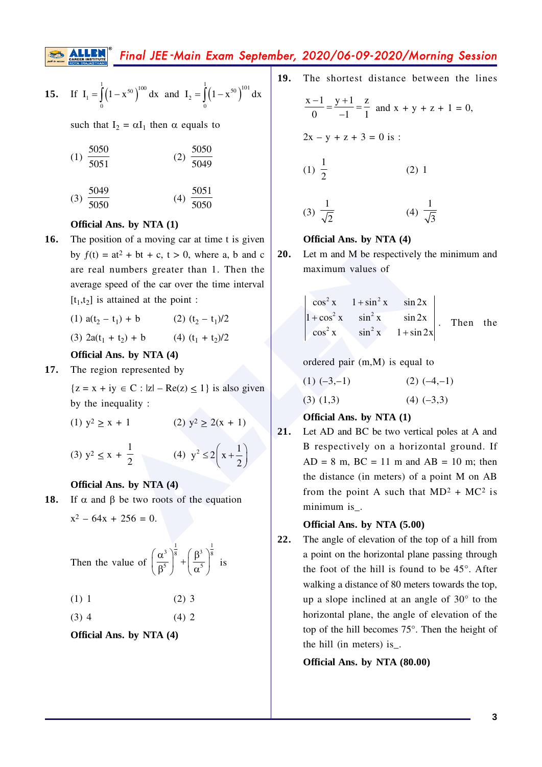Final JEE -Main Exam September, 2020/06-09-2020/Morning Session

**15.** If 
$$
I_1 = \int_0^1 (1 - x^{50})^{100} dx
$$
 and  $I_2 = \int_0^1 (1 - x^{50})^{101} dx$ 

such that  $I_2 = \alpha I_1$  then  $\alpha$  equals to

$$
(1) \frac{5050}{5051} \qquad (2) \frac{5050}{5049}
$$

$$
(3) \frac{5049}{5050} \qquad \qquad (4) \frac{5051}{5050}
$$

## **Official Ans. by NTA (1)**

- **16.** The position of a moving car at time t is given by  $f(t) = at^2 + bt + c$ ,  $t > 0$ , where a, b and c are real numbers greater than 1. Then the average speed of the car over the time interval  $[t_1, t_2]$  is attained at the point :
	- (1)  $a(t_2 t_1) + b$  (2)  $(t_2 t_1)/2$
	- (3)  $2a(t_1 + t_2) + b$  (4) (t  $t_1 + t_2$ /2

### **Official Ans. by NTA (4)**

**17.** The region represented by

 ${z = x + iy \in C : |z| - Re(z) \le 1}$  is also given by the inequality :

- (1)  $y^2 \ge x + 1$  $2 \ge x + 1$  (2)  $y^2 \ge 2(x + 1)$
- (3)  $y^2 \le x + \frac{1}{2}$  (4)  $y^2 \le 2\left(x + \frac{1}{2}\right)$  $\leq 2\left(x+\frac{1}{2}\right)$

#### **Official Ans. by NTA (4)**

18.  $\alpha$  and  $\beta$  be two roots of the equation

 $x^2 - 64x + 256 = 0.$ 

Then the value of 
$$
\left(\frac{\alpha^3}{\beta^5}\right)^{\frac{1}{8}} + \left(\frac{\beta^3}{\alpha^5}\right)^{\frac{1}{8}}
$$
 is

$$
(1) 1 \t(2) 3
$$

$$
(3) 4 \t(4) 2
$$

**Official Ans. by NTA (4)**

**19.** The shortest distance between the lines

$$
\frac{x-1}{0} = \frac{y+1}{-1} = \frac{z}{1} \text{ and } x + y + z + 1 = 0,
$$
  
2x - y + z + 3 = 0 is :  
(1)  $\frac{1}{2}$  (2) 1

$$
(3) \frac{1}{\sqrt{2}} \qquad \qquad (4) \frac{1}{\sqrt{3}}
$$

#### **Official Ans. by NTA (4)**

**20.** Let m and M be respectively the minimum and maximum values of

$$
\begin{vmatrix}\n\cos^2 x & 1 + \sin^2 x & \sin 2x \\
1 + \cos^2 x & \sin^2 x & \sin 2x \\
\cos^2 x & \sin^2 x & 1 + \sin 2x\n\end{vmatrix}
$$
. Then the

ordered pair (m,M) is equal to

$$
(1) (-3,-1) \qquad \qquad (2) (-4,-1)
$$

$$
(3) (1,3) \qquad \qquad (4) (-3,3)
$$

# **Official Ans. by NTA (1)**

at<sup>2</sup> + bt + c, t > 0, where a, b and c<br>
numbers greater than 1. Then the<br>
numbers greater than 1. Then the<br>
tained at the point:<br>  $t_1$  + b (2) ( $t_2$  -  $t_1$ )/2<br>  $t_2$ ) + b (4) ( $t_1$  +  $t_2$ )/2<br> **as.** by NTA (4)<br>
numer **21.** Let AD and BC be two vertical poles at A and B respectively on a horizontal ground. If  $AD = 8$  m,  $BC = 11$  m and  $AB = 10$  m; then the distance (in meters) of a point M on AB from the point A such that  $MD^2 + MC^2$  is minimum is.

#### **Official Ans. by NTA (5.00)**

**22.** The angle of elevation of the top of a hill from a point on the horizontal plane passing through the foot of the hill is found to be 45°. After walking a distance of 80 meters towards the top, up a slope inclined at an angle of 30° to the horizontal plane, the angle of elevation of the top of the hill becomes 75°. Then the height of the hill (in meters) is\_.

**Official Ans. by NTA (80.00)**